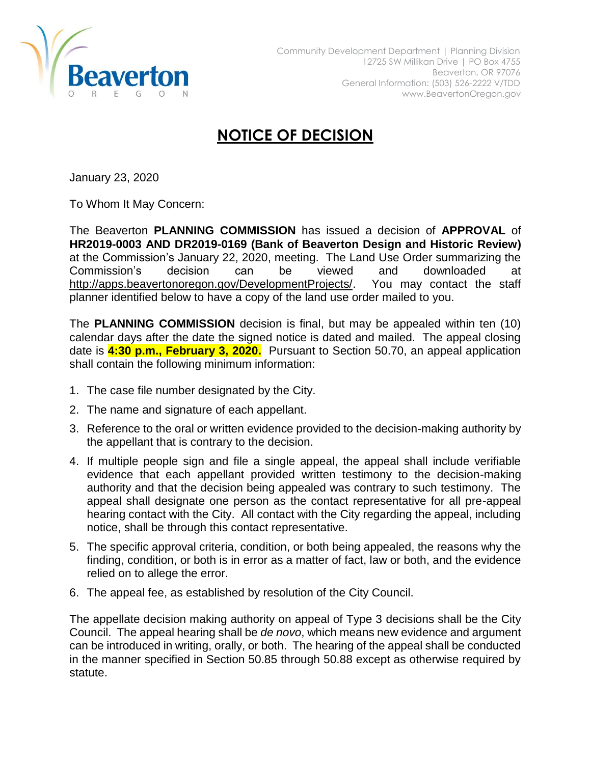

## **NOTICE OF DECISION**

January 23, 2020

To Whom It May Concern:

The Beaverton **PLANNING COMMISSION** has issued a decision of **APPROVAL** of **HR2019-0003 AND DR2019-0169 (Bank of Beaverton Design and Historic Review)** at the Commission's January 22, 2020, meeting. The Land Use Order summarizing the Commission's decision can be viewed and downloaded at [http://apps.beavertonoregon.gov/DevelopmentProjects/.](http://apps.beavertonoregon.gov/DevelopmentProjects/) You may contact the staff planner identified below to have a copy of the land use order mailed to you.

The **PLANNING COMMISSION** decision is final, but may be appealed within ten (10) calendar days after the date the signed notice is dated and mailed. The appeal closing date is **4:30 p.m., February 3, 2020.** Pursuant to Section 50.70, an appeal application shall contain the following minimum information:

- 1. The case file number designated by the City.
- 2. The name and signature of each appellant.
- 3. Reference to the oral or written evidence provided to the decision-making authority by the appellant that is contrary to the decision.
- 4. If multiple people sign and file a single appeal, the appeal shall include verifiable evidence that each appellant provided written testimony to the decision-making authority and that the decision being appealed was contrary to such testimony. The appeal shall designate one person as the contact representative for all pre-appeal hearing contact with the City. All contact with the City regarding the appeal, including notice, shall be through this contact representative.
- 5. The specific approval criteria, condition, or both being appealed, the reasons why the finding, condition, or both is in error as a matter of fact, law or both, and the evidence relied on to allege the error.
- 6. The appeal fee, as established by resolution of the City Council.

The appellate decision making authority on appeal of Type 3 decisions shall be the City Council. The appeal hearing shall be *de novo*, which means new evidence and argument can be introduced in writing, orally, or both. The hearing of the appeal shall be conducted in the manner specified in Section 50.85 through 50.88 except as otherwise required by statute.